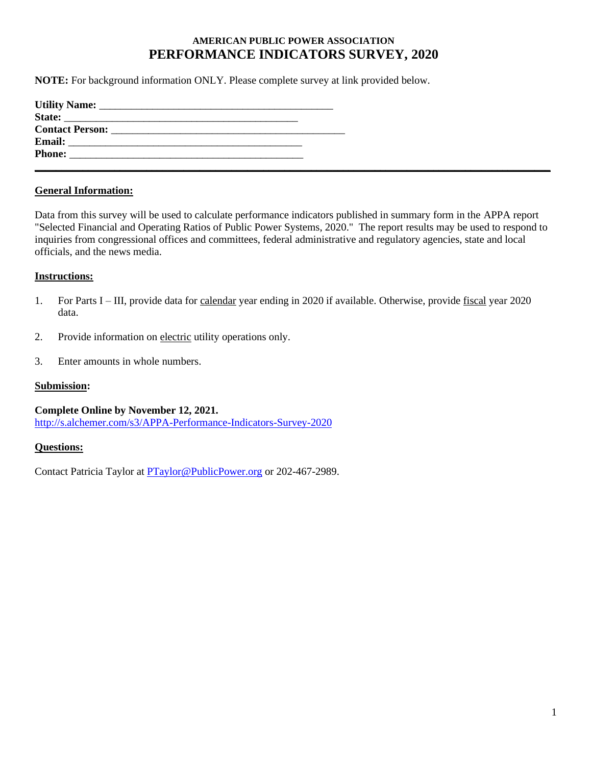## **AMERICAN PUBLIC POWER ASSOCIATION PERFORMANCE INDICATORS SURVEY, 2020**

**NOTE:** For background information ONLY. Please complete survey at link provided below.

| State:                                                                                                                                 |  |  |
|----------------------------------------------------------------------------------------------------------------------------------------|--|--|
|                                                                                                                                        |  |  |
| <b>Email:</b><br><u> 1989 - Johann John Stone, mensk politik (f. 1989)</u>                                                             |  |  |
| <b>Phone:</b><br><u> 1989 - John Stone, september 1989 - John Stone, september 1989 - John Stone, september 1989 - John Stone, sep</u> |  |  |
|                                                                                                                                        |  |  |

## **General Information:**

Data from this survey will be used to calculate performance indicators published in summary form in the APPA report "Selected Financial and Operating Ratios of Public Power Systems, 2020." The report results may be used to respond to inquiries from congressional offices and committees, federal administrative and regulatory agencies, state and local officials, and the news media.

### **Instructions:**

- 1. For Parts I III, provide data for calendar year ending in 2020 if available. Otherwise, provide fiscal year 2020 data.
- 2. Provide information on electric utility operations only.
- 3. Enter amounts in whole numbers.

#### **Submission:**

**Complete Online by November 12, 2021.**  <http://s.alchemer.com/s3/APPA-Performance-Indicators-Survey-2020>

#### **Questions:**

Contact Patricia Taylor at **PTaylor@PublicPower.org** or 202-467-2989.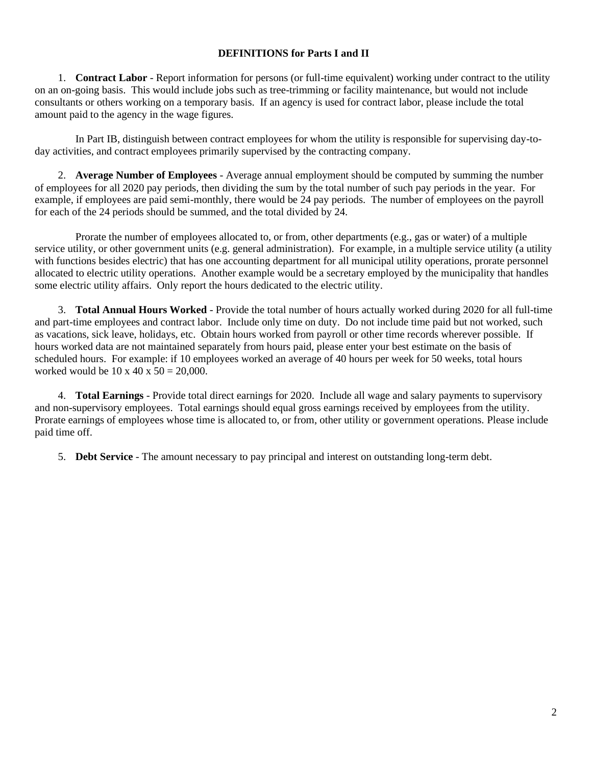## **DEFINITIONS for Parts I and II**

1. **Contract Labor** - Report information for persons (or full-time equivalent) working under contract to the utility on an on-going basis. This would include jobs such as tree-trimming or facility maintenance, but would not include consultants or others working on a temporary basis. If an agency is used for contract labor, please include the total amount paid to the agency in the wage figures.

In Part IB, distinguish between contract employees for whom the utility is responsible for supervising day-today activities, and contract employees primarily supervised by the contracting company.

2. **Average Number of Employees** - Average annual employment should be computed by summing the number of employees for all 2020 pay periods, then dividing the sum by the total number of such pay periods in the year. For example, if employees are paid semi-monthly, there would be 24 pay periods. The number of employees on the payroll for each of the 24 periods should be summed, and the total divided by 24.

Prorate the number of employees allocated to, or from, other departments (e.g., gas or water) of a multiple service utility, or other government units (e.g. general administration). For example, in a multiple service utility (a utility with functions besides electric) that has one accounting department for all municipal utility operations, prorate personnel allocated to electric utility operations. Another example would be a secretary employed by the municipality that handles some electric utility affairs. Only report the hours dedicated to the electric utility.

3. **Total Annual Hours Worked** - Provide the total number of hours actually worked during 2020 for all full-time and part-time employees and contract labor. Include only time on duty. Do not include time paid but not worked, such as vacations, sick leave, holidays, etc. Obtain hours worked from payroll or other time records wherever possible. If hours worked data are not maintained separately from hours paid, please enter your best estimate on the basis of scheduled hours. For example: if 10 employees worked an average of 40 hours per week for 50 weeks, total hours worked would be  $10 \times 40 \times 50 = 20,000$ .

4. **Total Earnings** - Provide total direct earnings for 2020. Include all wage and salary payments to supervisory and non-supervisory employees. Total earnings should equal gross earnings received by employees from the utility. Prorate earnings of employees whose time is allocated to, or from, other utility or government operations. Please include paid time off.

5. **Debt Service** - The amount necessary to pay principal and interest on outstanding long-term debt.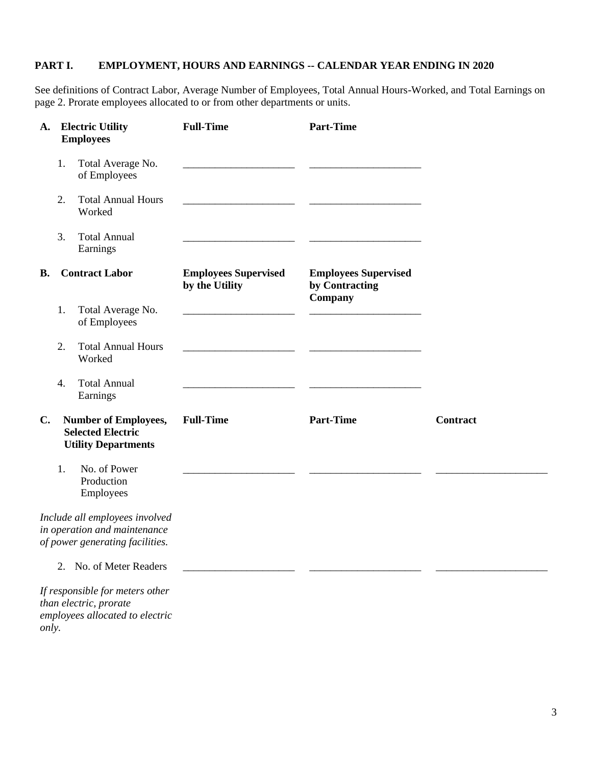## **PART I. EMPLOYMENT, HOURS AND EARNINGS -- CALENDAR YEAR ENDING IN 2020**

See definitions of Contract Labor, Average Number of Employees, Total Annual Hours-Worked, and Total Earnings on page 2. Prorate employees allocated to or from other departments or units.

| A.             |    | <b>Electric Utility</b><br><b>Employees</b>                                                       | <b>Full-Time</b>                              | <b>Part-Time</b>                                         |                 |
|----------------|----|---------------------------------------------------------------------------------------------------|-----------------------------------------------|----------------------------------------------------------|-----------------|
|                | 1. | Total Average No.<br>of Employees                                                                 |                                               |                                                          |                 |
|                | 2. | <b>Total Annual Hours</b><br>Worked                                                               |                                               |                                                          |                 |
|                | 3. | <b>Total Annual</b><br>Earnings                                                                   |                                               |                                                          |                 |
| <b>B.</b>      |    | <b>Contract Labor</b>                                                                             | <b>Employees Supervised</b><br>by the Utility | <b>Employees Supervised</b><br>by Contracting<br>Company |                 |
|                | 1. | Total Average No.<br>of Employees                                                                 |                                               |                                                          |                 |
|                | 2. | <b>Total Annual Hours</b><br>Worked                                                               |                                               |                                                          |                 |
|                | 4. | <b>Total Annual</b><br>Earnings                                                                   |                                               |                                                          |                 |
| $\mathbf{C}$ . |    | <b>Number of Employees,</b><br><b>Selected Electric</b><br><b>Utility Departments</b>             | <b>Full-Time</b>                              | <b>Part-Time</b>                                         | <b>Contract</b> |
|                | 1. | No. of Power<br>Production<br>Employees                                                           |                                               |                                                          |                 |
|                |    | Include all employees involved<br>in operation and maintenance<br>of power generating facilities. |                                               |                                                          |                 |
|                |    | 2. No. of Meter Readers                                                                           |                                               |                                                          |                 |
| only.          |    | If responsible for meters other<br>than electric, prorate<br>employees allocated to electric      |                                               |                                                          |                 |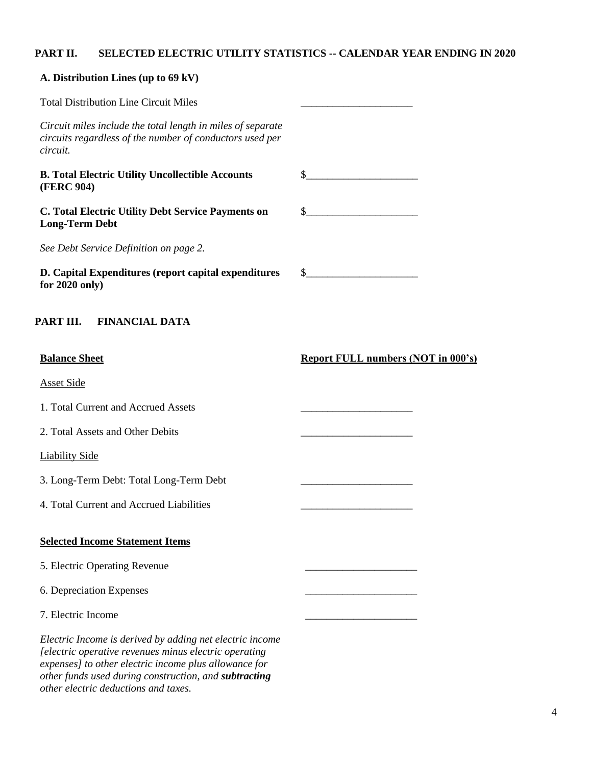# **PART II. SELECTED ELECTRIC UTILITY STATISTICS -- CALENDAR YEAR ENDING IN 2020**

| A. Distribution Lines (up to 69 kV)                                                                                                                                                                                                 |                                                                                                                                                                                                                                                                                                                     |
|-------------------------------------------------------------------------------------------------------------------------------------------------------------------------------------------------------------------------------------|---------------------------------------------------------------------------------------------------------------------------------------------------------------------------------------------------------------------------------------------------------------------------------------------------------------------|
| <b>Total Distribution Line Circuit Miles</b>                                                                                                                                                                                        |                                                                                                                                                                                                                                                                                                                     |
| Circuit miles include the total length in miles of separate<br>circuits regardless of the number of conductors used per<br>circuit.                                                                                                 |                                                                                                                                                                                                                                                                                                                     |
| <b>B. Total Electric Utility Uncollectible Accounts</b><br><b>(FERC 904)</b>                                                                                                                                                        | $\frac{1}{2}$ $\frac{1}{2}$ $\frac{1}{2}$ $\frac{1}{2}$ $\frac{1}{2}$ $\frac{1}{2}$ $\frac{1}{2}$ $\frac{1}{2}$ $\frac{1}{2}$ $\frac{1}{2}$ $\frac{1}{2}$ $\frac{1}{2}$ $\frac{1}{2}$ $\frac{1}{2}$ $\frac{1}{2}$ $\frac{1}{2}$ $\frac{1}{2}$ $\frac{1}{2}$ $\frac{1}{2}$ $\frac{1}{2}$ $\frac{1}{2}$ $\frac{1}{2}$ |
| C. Total Electric Utility Debt Service Payments on<br><b>Long-Term Debt</b>                                                                                                                                                         | $\sim$                                                                                                                                                                                                                                                                                                              |
| See Debt Service Definition on page 2.                                                                                                                                                                                              |                                                                                                                                                                                                                                                                                                                     |
| D. Capital Expenditures (report capital expenditures<br>for $2020$ only)                                                                                                                                                            | $\sim$                                                                                                                                                                                                                                                                                                              |
| PART III.<br><b>FINANCIAL DATA</b>                                                                                                                                                                                                  |                                                                                                                                                                                                                                                                                                                     |
| <b>Balance Sheet</b>                                                                                                                                                                                                                | <b>Report FULL numbers (NOT in 000's)</b>                                                                                                                                                                                                                                                                           |
| <b>Asset Side</b>                                                                                                                                                                                                                   |                                                                                                                                                                                                                                                                                                                     |
| 1. Total Current and Accrued Assets                                                                                                                                                                                                 |                                                                                                                                                                                                                                                                                                                     |
| 2. Total Assets and Other Debits                                                                                                                                                                                                    |                                                                                                                                                                                                                                                                                                                     |
| <b>Liability Side</b>                                                                                                                                                                                                               |                                                                                                                                                                                                                                                                                                                     |
| 3. Long-Term Debt: Total Long-Term Debt                                                                                                                                                                                             |                                                                                                                                                                                                                                                                                                                     |
| 4. Total Current and Accrued Liabilities                                                                                                                                                                                            |                                                                                                                                                                                                                                                                                                                     |
| <b>Selected Income Statement Items</b>                                                                                                                                                                                              |                                                                                                                                                                                                                                                                                                                     |
| 5. Electric Operating Revenue                                                                                                                                                                                                       |                                                                                                                                                                                                                                                                                                                     |
| 6. Depreciation Expenses                                                                                                                                                                                                            |                                                                                                                                                                                                                                                                                                                     |
| 7. Electric Income                                                                                                                                                                                                                  |                                                                                                                                                                                                                                                                                                                     |
| Electric Income is derived by adding net electric income<br>[electric operative revenues minus electric operating<br>expenses] to other electric income plus allowance for<br>other funds used during construction, and subtracting |                                                                                                                                                                                                                                                                                                                     |

*other electric deductions and taxes.*